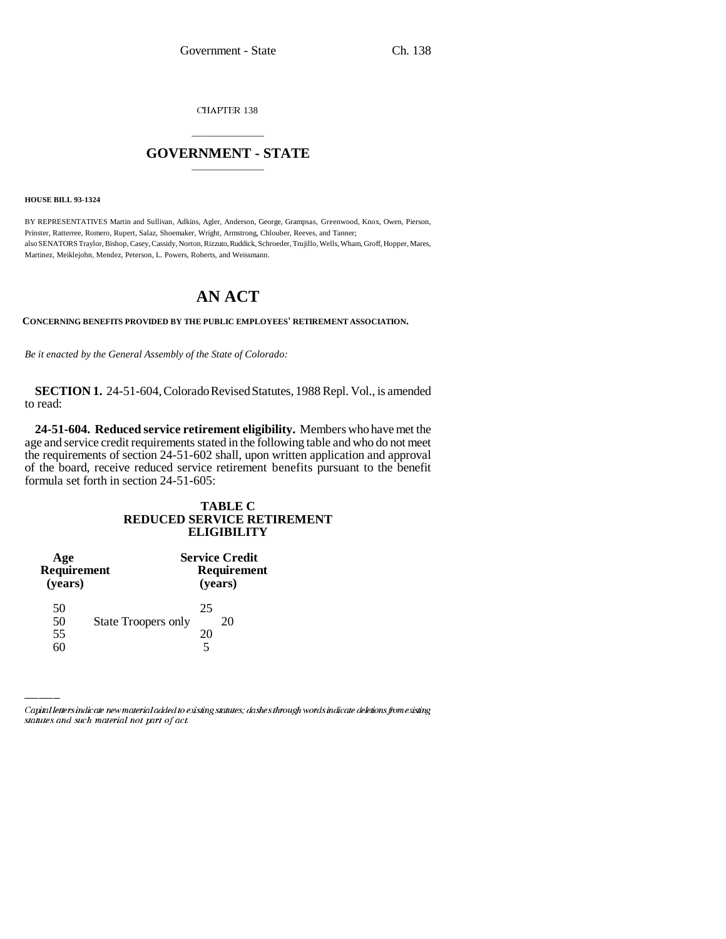CHAPTER 138

## \_\_\_\_\_\_\_\_\_\_\_\_\_\_\_ **GOVERNMENT - STATE** \_\_\_\_\_\_\_\_\_\_\_\_\_\_\_

**HOUSE BILL 93-1324**

BY REPRESENTATIVES Martin and Sullivan, Adkins, Agler, Anderson, George, Grampsas, Greenwood, Knox, Owen, Pierson, Prinster, Ratterree, Romero, Rupert, Salaz, Shoemaker, Wright, Armstrong, Chlouber, Reeves, and Tanner; also SENATORS Traylor, Bishop, Casey, Cassidy, Norton, Rizzuto, Ruddick, Schroeder, Trujillo, Wells, Wham, Groff, Hopper, Mares, Martinez, Meiklejohn, Mendez, Peterson, L. Powers, Roberts, and Weissmann.

## **AN ACT**

**CONCERNING BENEFITS PROVIDED BY THE PUBLIC EMPLOYEES' RETIREMENT ASSOCIATION.**

*Be it enacted by the General Assembly of the State of Colorado:*

**SECTION 1.** 24-51-604, Colorado Revised Statutes, 1988 Repl. Vol., is amended to read:

**24-51-604. Reduced service retirement eligibility.** Members who have met the age and service credit requirements stated in the following table and who do not meet the requirements of section 24-51-602 shall, upon written application and approval of the board, receive reduced service retirement benefits pursuant to the benefit formula set forth in section 24-51-605:

## **TABLE C REDUCED SERVICE RETIREMENT ELIGIBILITY**

| Age<br>Requirement<br>(years) |                            | <b>Service Credit</b><br>Requirement<br>(years) |    |
|-------------------------------|----------------------------|-------------------------------------------------|----|
| 50                            |                            | 25                                              |    |
| 50                            | <b>State Troopers only</b> |                                                 | 20 |
| 55                            |                            | 20                                              |    |
|                               |                            |                                                 |    |

Capital letters indicate new material added to existing statutes; dashes through words indicate deletions from existing statutes and such material not part of act.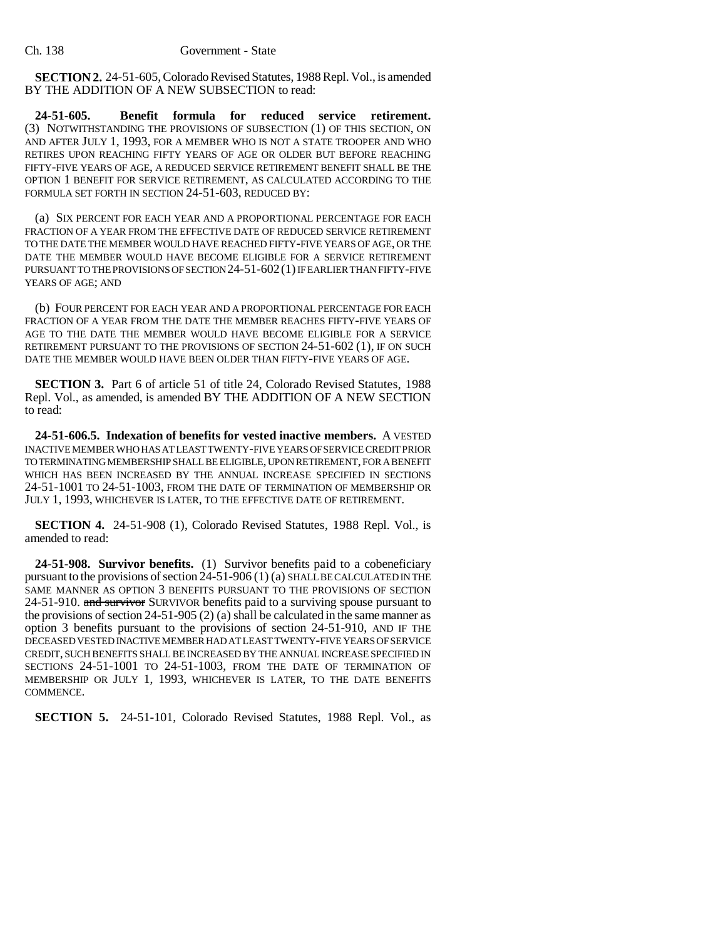**SECTION 2.** 24-51-605, Colorado Revised Statutes, 1988 Repl. Vol., is amended BY THE ADDITION OF A NEW SUBSECTION to read:

**24-51-605. Benefit formula for reduced service retirement.** (3) NOTWITHSTANDING THE PROVISIONS OF SUBSECTION (1) OF THIS SECTION, ON AND AFTER JULY 1, 1993, FOR A MEMBER WHO IS NOT A STATE TROOPER AND WHO RETIRES UPON REACHING FIFTY YEARS OF AGE OR OLDER BUT BEFORE REACHING FIFTY-FIVE YEARS OF AGE, A REDUCED SERVICE RETIREMENT BENEFIT SHALL BE THE OPTION 1 BENEFIT FOR SERVICE RETIREMENT, AS CALCULATED ACCORDING TO THE FORMULA SET FORTH IN SECTION 24-51-603, REDUCED BY:

(a) SIX PERCENT FOR EACH YEAR AND A PROPORTIONAL PERCENTAGE FOR EACH FRACTION OF A YEAR FROM THE EFFECTIVE DATE OF REDUCED SERVICE RETIREMENT TO THE DATE THE MEMBER WOULD HAVE REACHED FIFTY-FIVE YEARS OF AGE, OR THE DATE THE MEMBER WOULD HAVE BECOME ELIGIBLE FOR A SERVICE RETIREMENT PURSUANT TO THE PROVISIONS OF SECTION 24-51-602(1) IF EARLIER THAN FIFTY-FIVE YEARS OF AGE; AND

(b) FOUR PERCENT FOR EACH YEAR AND A PROPORTIONAL PERCENTAGE FOR EACH FRACTION OF A YEAR FROM THE DATE THE MEMBER REACHES FIFTY-FIVE YEARS OF AGE TO THE DATE THE MEMBER WOULD HAVE BECOME ELIGIBLE FOR A SERVICE RETIREMENT PURSUANT TO THE PROVISIONS OF SECTION 24-51-602 (1), IF ON SUCH DATE THE MEMBER WOULD HAVE BEEN OLDER THAN FIFTY-FIVE YEARS OF AGE.

**SECTION 3.** Part 6 of article 51 of title 24, Colorado Revised Statutes, 1988 Repl. Vol., as amended, is amended BY THE ADDITION OF A NEW SECTION to read:

**24-51-606.5. Indexation of benefits for vested inactive members.** A VESTED INACTIVE MEMBER WHO HAS AT LEAST TWENTY-FIVE YEARS OF SERVICE CREDIT PRIOR TO TERMINATING MEMBERSHIP SHALL BE ELIGIBLE, UPON RETIREMENT, FOR A BENEFIT WHICH HAS BEEN INCREASED BY THE ANNUAL INCREASE SPECIFIED IN SECTIONS 24-51-1001 TO 24-51-1003, FROM THE DATE OF TERMINATION OF MEMBERSHIP OR JULY 1, 1993, WHICHEVER IS LATER, TO THE EFFECTIVE DATE OF RETIREMENT.

**SECTION 4.** 24-51-908 (1), Colorado Revised Statutes, 1988 Repl. Vol., is amended to read:

**24-51-908. Survivor benefits.** (1) Survivor benefits paid to a cobeneficiary pursuant to the provisions of section 24-51-906 (1) (a) SHALL BE CALCULATED IN THE SAME MANNER AS OPTION 3 BENEFITS PURSUANT TO THE PROVISIONS OF SECTION 24-51-910. and survivor SURVIVOR benefits paid to a surviving spouse pursuant to the provisions of section 24-51-905 (2) (a) shall be calculated in the same manner as option 3 benefits pursuant to the provisions of section 24-51-910, AND IF THE DECEASED VESTED INACTIVE MEMBER HAD AT LEAST TWENTY-FIVE YEARS OF SERVICE CREDIT, SUCH BENEFITS SHALL BE INCREASED BY THE ANNUAL INCREASE SPECIFIED IN SECTIONS 24-51-1001 TO 24-51-1003, FROM THE DATE OF TERMINATION OF MEMBERSHIP OR JULY 1, 1993, WHICHEVER IS LATER, TO THE DATE BENEFITS COMMENCE.

**SECTION 5.** 24-51-101, Colorado Revised Statutes, 1988 Repl. Vol., as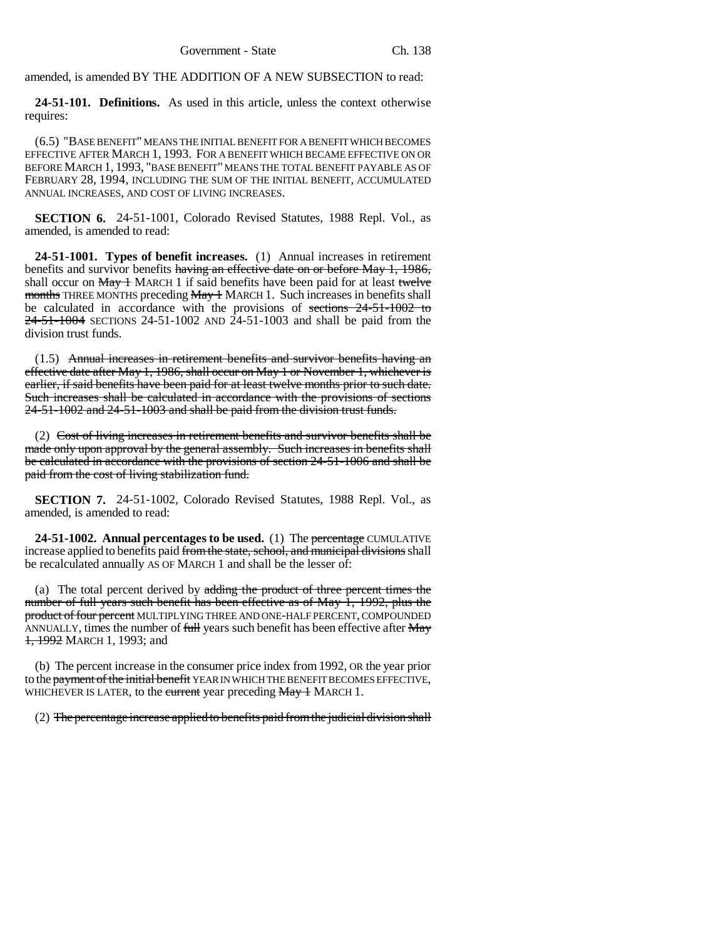amended, is amended BY THE ADDITION OF A NEW SUBSECTION to read:

**24-51-101. Definitions.** As used in this article, unless the context otherwise requires:

(6.5) "BASE BENEFIT" MEANS THE INITIAL BENEFIT FOR A BENEFIT WHICH BECOMES EFFECTIVE AFTER MARCH 1, 1993. FOR A BENEFIT WHICH BECAME EFFECTIVE ON OR BEFORE MARCH 1, 1993, "BASE BENEFIT" MEANS THE TOTAL BENEFIT PAYABLE AS OF FEBRUARY 28, 1994, INCLUDING THE SUM OF THE INITIAL BENEFIT, ACCUMULATED ANNUAL INCREASES, AND COST OF LIVING INCREASES.

**SECTION 6.** 24-51-1001, Colorado Revised Statutes, 1988 Repl. Vol., as amended, is amended to read:

**24-51-1001. Types of benefit increases.** (1) Annual increases in retirement benefits and survivor benefits having an effective date on or before May 1, 1986, shall occur on  $May + MARCH 1$  if said benefits have been paid for at least twelve months THREE MONTHS preceding May 1 MARCH 1. Such increases in benefits shall be calculated in accordance with the provisions of sections 24-51-1002 to  $24-51-1004$  SECTIONS 24-51-1002 AND 24-51-1003 and shall be paid from the division trust funds.

(1.5) Annual increases in retirement benefits and survivor benefits having an effective date after May 1, 1986, shall occur on May 1 or November 1, whichever is earlier, if said benefits have been paid for at least twelve months prior to such date. Such increases shall be calculated in accordance with the provisions of sections 24-51-1002 and 24-51-1003 and shall be paid from the division trust funds.

(2) Cost of living increases in retirement benefits and survivor benefits shall be made only upon approval by the general assembly. Such increases in benefits shall be calculated in accordance with the provisions of section 24-51-1006 and shall be paid from the cost of living stabilization fund.

**SECTION 7.** 24-51-1002, Colorado Revised Statutes, 1988 Repl. Vol., as amended, is amended to read:

**24-51-1002. Annual percentages to be used.** (1) The percentage CUMULATIVE increase applied to benefits paid from the state, school, and municipal divisions shall be recalculated annually AS OF MARCH 1 and shall be the lesser of:

(a) The total percent derived by adding the product of three percent times the number of full years such benefit has been effective as of May 1, 1992, plus the product of four percent MULTIPLYING THREE AND ONE-HALF PERCENT, COMPOUNDED ANNUALLY, times the number of full years such benefit has been effective after May 1, 1992 MARCH 1, 1993; and

(b) The percent increase in the consumer price index from 1992, OR the year prior to the payment of the initial benefit YEAR IN WHICH THE BENEFIT BECOMES EFFECTIVE, WHICHEVER IS LATER, to the eurrent year preceding May 1 MARCH 1.

(2) The percentage increase applied to benefits paid from the judicial division shall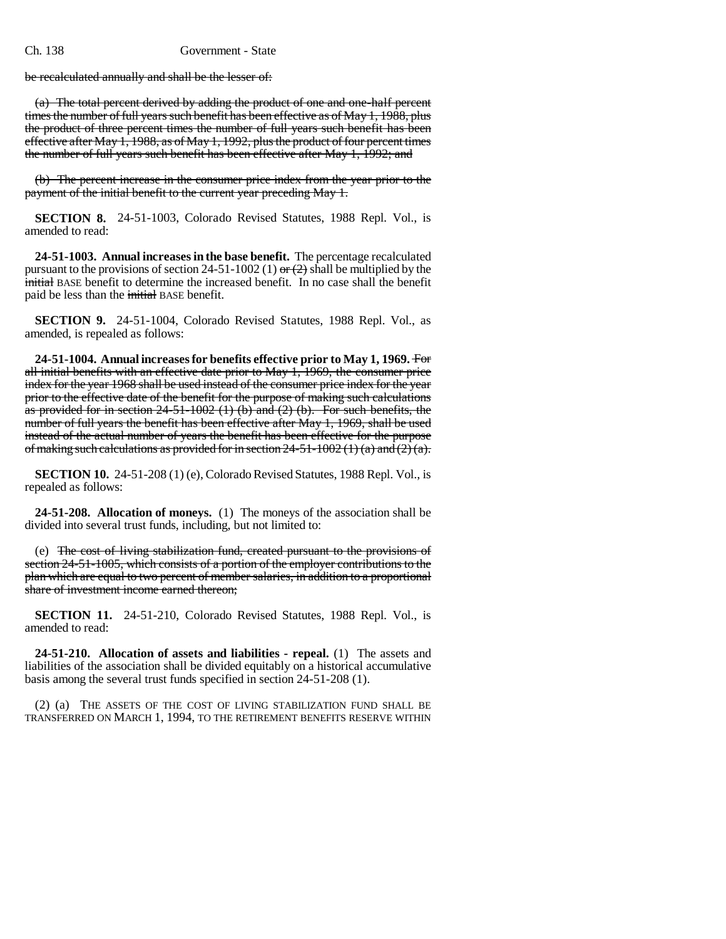be recalculated annually and shall be the lesser of:

(a) The total percent derived by adding the product of one and one-half percent times the number of full years such benefit has been effective as of May 1, 1988, plus the product of three percent times the number of full years such benefit has been effective after May 1, 1988, as of May 1, 1992, plus the product of four percent times the number of full years such benefit has been effective after May 1, 1992; and

(b) The percent increase in the consumer price index from the year prior to the payment of the initial benefit to the current year preceding May 1.

**SECTION 8.** 24-51-1003, Colorado Revised Statutes, 1988 Repl. Vol., is amended to read:

**24-51-1003. Annual increases in the base benefit.** The percentage recalculated pursuant to the provisions of section 24-51-1002 (1) or  $(2)$  shall be multiplied by the initial BASE benefit to determine the increased benefit. In no case shall the benefit paid be less than the initial BASE benefit.

**SECTION 9.** 24-51-1004, Colorado Revised Statutes, 1988 Repl. Vol., as amended, is repealed as follows:

**24-51-1004. Annual increases for benefits effective prior to May 1, 1969.** For all initial benefits with an effective date prior to May 1, 1969, the consumer price index for the year 1968 shall be used instead of the consumer price index for the year prior to the effective date of the benefit for the purpose of making such calculations as provided for in section  $24-51-1002$  (1) (b) and (2) (b). For such benefits, the number of full years the benefit has been effective after May 1, 1969, shall be used instead of the actual number of years the benefit has been effective for the purpose of making such calculations as provided for in section 24-51-1002 (1) (a) and  $(2)$  (a).

**SECTION 10.** 24-51-208 (1) (e), Colorado Revised Statutes, 1988 Repl. Vol., is repealed as follows:

**24-51-208. Allocation of moneys.** (1) The moneys of the association shall be divided into several trust funds, including, but not limited to:

(e) The cost of living stabilization fund, created pursuant to the provisions of section 24-51-1005, which consists of a portion of the employer contributions to the plan which are equal to two percent of member salaries, in addition to a proportional share of investment income earned thereon;

**SECTION 11.** 24-51-210, Colorado Revised Statutes, 1988 Repl. Vol., is amended to read:

**24-51-210. Allocation of assets and liabilities - repeal.** (1) The assets and liabilities of the association shall be divided equitably on a historical accumulative basis among the several trust funds specified in section 24-51-208 (1).

(2) (a) THE ASSETS OF THE COST OF LIVING STABILIZATION FUND SHALL BE TRANSFERRED ON MARCH 1, 1994, TO THE RETIREMENT BENEFITS RESERVE WITHIN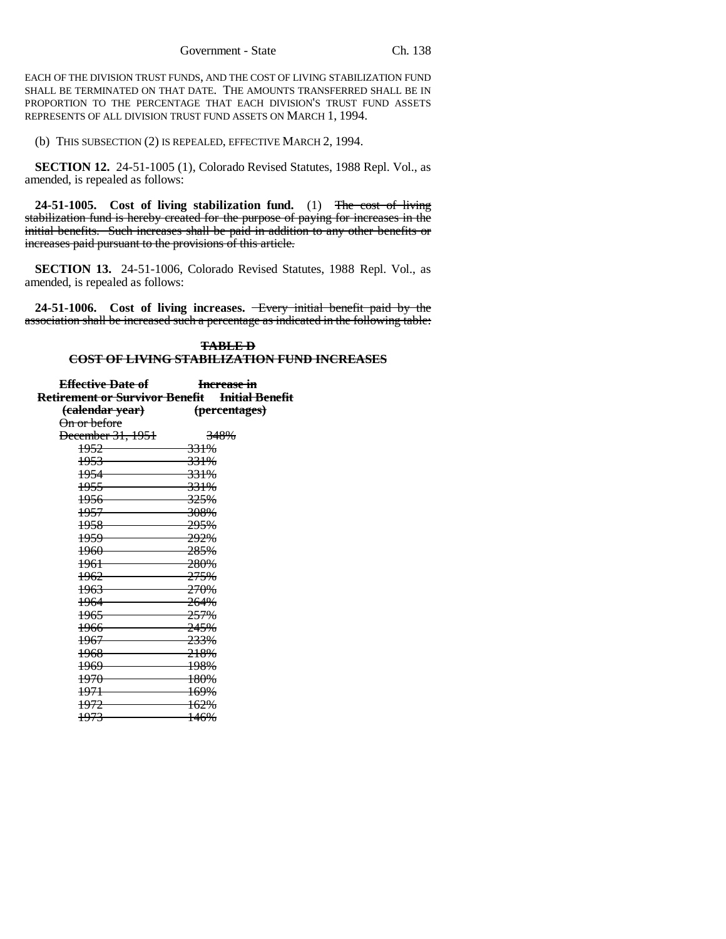EACH OF THE DIVISION TRUST FUNDS, AND THE COST OF LIVING STABILIZATION FUND SHALL BE TERMINATED ON THAT DATE. THE AMOUNTS TRANSFERRED SHALL BE IN PROPORTION TO THE PERCENTAGE THAT EACH DIVISION'S TRUST FUND ASSETS REPRESENTS OF ALL DIVISION TRUST FUND ASSETS ON MARCH 1, 1994.

(b) THIS SUBSECTION (2) IS REPEALED, EFFECTIVE MARCH 2, 1994.

**SECTION 12.** 24-51-1005 (1), Colorado Revised Statutes, 1988 Repl. Vol., as amended, is repealed as follows:

**24-51-1005. Cost of living stabilization fund.** (1) The cost of living stabilization fund is hereby created for the purpose of paying for increases in the initial benefits. Such increases shall be paid in addition to any other benefits or increases paid pursuant to the provisions of this article.

**SECTION 13.** 24-51-1006, Colorado Revised Statutes, 1988 Repl. Vol., as amended, is repealed as follows:

**24-51-1006. Cost of living increases.** Every initial benefit paid by the association shall be increased such a percentage as indicated in the following table:

## **TABLE D COST OF LIVING STABILIZATION FUND INCREASES**

| <del>Effective Date of</del>                   | Increase in     |
|------------------------------------------------|-----------------|
| Retirement or Survivor Benefit Initial Benefit |                 |
| <del>(calendar year)</del>                     | (percentages)   |
| On or before                                   |                 |
| December 31, 1951                              | 348%            |
| 1952                                           | <del>331%</del> |
| $\frac{1953}{2}$                               | <del>331%</del> |
| $\frac{1954}{2}$                               | 331%            |
| 1955                                           | 331%            |
| $\frac{1956}{2}$                               | <del>325%</del> |
| 1957                                           | 308%            |
|                                                | <del>295%</del> |
| 1959                                           | <del>292%</del> |
| 1960                                           | <del>285%</del> |
| $\frac{1961}{200}$                             | 280%            |
| 1962                                           | <del>275%</del> |
| 1963                                           | <del>270%</del> |
| 1964                                           | 264%            |
| 1965                                           | 257%            |
|                                                | 245%            |
| 1967                                           | 233%            |
| 1968                                           | 218%            |
| $\frac{1969}{2}$                               | 198%            |
| 1970                                           | <del>180%</del> |
| 1971                                           | 169%            |
| 1972                                           | 162%            |
| 1973                                           | 146%            |
|                                                |                 |